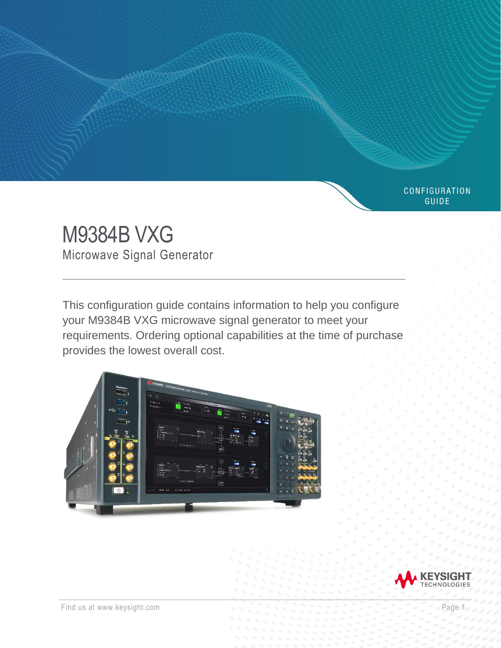# M9384B VXG Microwave Signal Generator

This configuration guide contains information to help you configure your M9384B VXG microwave signal generator to meet your requirements. Ordering optional capabilities at the time of purchase provides the lowest overall cost.





CONFIGURATION **GUIDE**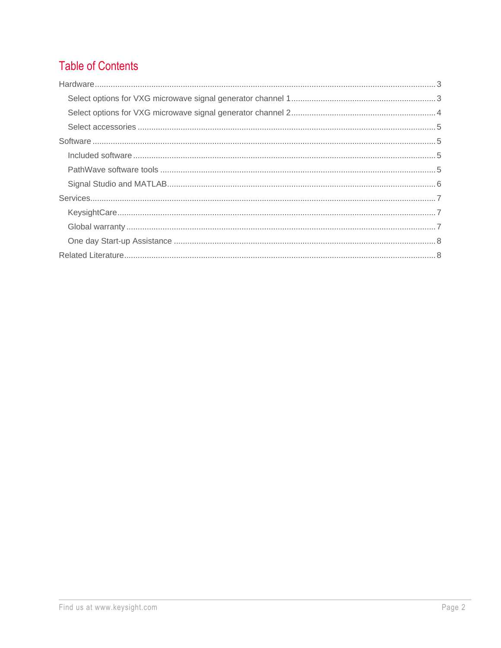# **Table of Contents**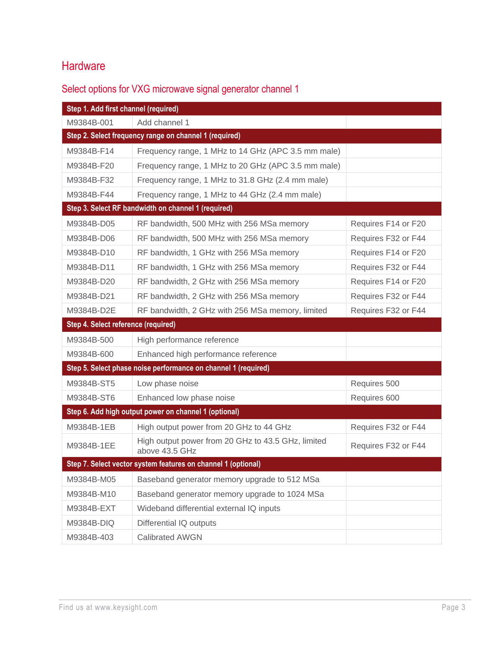# <span id="page-2-0"></span>**Hardware**

## <span id="page-2-1"></span>Select options for VXG microwave signal generator channel 1

| Step 1. Add first channel (required) |                                                                      |                     |
|--------------------------------------|----------------------------------------------------------------------|---------------------|
| M9384B-001                           | Add channel 1                                                        |                     |
|                                      | Step 2. Select frequency range on channel 1 (required)               |                     |
| M9384B-F14                           | Frequency range, 1 MHz to 14 GHz (APC 3.5 mm male)                   |                     |
| M9384B-F20                           | Frequency range, 1 MHz to 20 GHz (APC 3.5 mm male)                   |                     |
| M9384B-F32                           | Frequency range, 1 MHz to 31.8 GHz (2.4 mm male)                     |                     |
| M9384B-F44                           | Frequency range, 1 MHz to 44 GHz (2.4 mm male)                       |                     |
|                                      | Step 3. Select RF bandwidth on channel 1 (required)                  |                     |
| M9384B-D05                           | RF bandwidth, 500 MHz with 256 MSa memory                            | Requires F14 or F20 |
| M9384B-D06                           | RF bandwidth, 500 MHz with 256 MSa memory                            | Requires F32 or F44 |
| M9384B-D10                           | RF bandwidth, 1 GHz with 256 MSa memory                              | Requires F14 or F20 |
| M9384B-D11                           | RF bandwidth, 1 GHz with 256 MSa memory                              | Requires F32 or F44 |
| M9384B-D20                           | RF bandwidth, 2 GHz with 256 MSa memory                              | Requires F14 or F20 |
| M9384B-D21                           | RF bandwidth, 2 GHz with 256 MSa memory                              | Requires F32 or F44 |
| M9384B-D2E                           | RF bandwidth, 2 GHz with 256 MSa memory, limited                     | Requires F32 or F44 |
| Step 4. Select reference (required)  |                                                                      |                     |
| M9384B-500                           | High performance reference                                           |                     |
| M9384B-600                           | Enhanced high performance reference                                  |                     |
|                                      | Step 5. Select phase noise performance on channel 1 (required)       |                     |
| M9384B-ST5                           | Low phase noise                                                      | Requires 500        |
| M9384B-ST6                           | Enhanced low phase noise                                             | Requires 600        |
|                                      | Step 6. Add high output power on channel 1 (optional)                |                     |
| M9384B-1EB                           | High output power from 20 GHz to 44 GHz                              | Requires F32 or F44 |
| M9384B-1EE                           | High output power from 20 GHz to 43.5 GHz, limited<br>above 43.5 GHz | Requires F32 or F44 |
|                                      | Step 7. Select vector system features on channel 1 (optional)        |                     |
| M9384B-M05                           | Baseband generator memory upgrade to 512 MSa                         |                     |
| M9384B-M10                           | Baseband generator memory upgrade to 1024 MSa                        |                     |
| M9384B-EXT                           | Wideband differential external IQ inputs                             |                     |
| M9384B-DIQ                           | Differential IQ outputs                                              |                     |
| M9384B-403                           | <b>Calibrated AWGN</b>                                               |                     |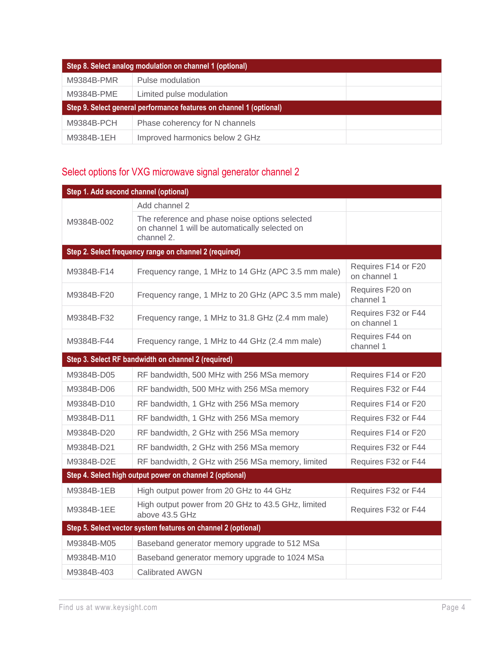| Step 8. Select analog modulation on channel 1 (optional)            |                                |  |
|---------------------------------------------------------------------|--------------------------------|--|
| M9384B-PMR                                                          | Pulse modulation               |  |
| M9384B-PME                                                          | Limited pulse modulation       |  |
| Step 9. Select general performance features on channel 1 (optional) |                                |  |
| M9384B-PCH                                                          | Phase coherency for N channels |  |
| M9384B-1EH                                                          | Improved harmonics below 2 GHz |  |

## <span id="page-3-0"></span>Select options for VXG microwave signal generator channel 2

| Step 1. Add second channel (optional) |                                                                                                                |                                     |
|---------------------------------------|----------------------------------------------------------------------------------------------------------------|-------------------------------------|
|                                       | Add channel 2                                                                                                  |                                     |
| M9384B-002                            | The reference and phase noise options selected<br>on channel 1 will be automatically selected on<br>channel 2. |                                     |
|                                       | Step 2. Select frequency range on channel 2 (required)                                                         |                                     |
| M9384B-F14                            | Frequency range, 1 MHz to 14 GHz (APC 3.5 mm male)                                                             | Requires F14 or F20<br>on channel 1 |
| M9384B-F20                            | Frequency range, 1 MHz to 20 GHz (APC 3.5 mm male)                                                             | Requires F20 on<br>channel 1        |
| M9384B-F32                            | Frequency range, 1 MHz to 31.8 GHz (2.4 mm male)                                                               | Requires F32 or F44<br>on channel 1 |
| M9384B-F44                            | Frequency range, 1 MHz to 44 GHz (2.4 mm male)                                                                 | Requires F44 on<br>channel 1        |
|                                       | Step 3. Select RF bandwidth on channel 2 (required)                                                            |                                     |
| M9384B-D05                            | RF bandwidth, 500 MHz with 256 MSa memory                                                                      | Requires F14 or F20                 |
| M9384B-D06                            | RF bandwidth, 500 MHz with 256 MSa memory                                                                      | Requires F32 or F44                 |
| M9384B-D10                            | RF bandwidth, 1 GHz with 256 MSa memory                                                                        | Requires F14 or F20                 |
| M9384B-D11                            | RF bandwidth, 1 GHz with 256 MSa memory                                                                        | Requires F32 or F44                 |
| M9384B-D20                            | RF bandwidth, 2 GHz with 256 MSa memory                                                                        | Requires F14 or F20                 |
| M9384B-D21                            | RF bandwidth, 2 GHz with 256 MSa memory                                                                        | Requires F32 or F44                 |
| M9384B-D2E                            | RF bandwidth, 2 GHz with 256 MSa memory, limited                                                               | Requires F32 or F44                 |
|                                       | Step 4. Select high output power on channel 2 (optional)                                                       |                                     |
| M9384B-1EB                            | High output power from 20 GHz to 44 GHz                                                                        | Requires F32 or F44                 |
| M9384B-1EE                            | High output power from 20 GHz to 43.5 GHz, limited<br>above 43.5 GHz                                           | Requires F32 or F44                 |
|                                       | Step 5. Select vector system features on channel 2 (optional)                                                  |                                     |
| M9384B-M05                            | Baseband generator memory upgrade to 512 MSa                                                                   |                                     |
| M9384B-M10                            | Baseband generator memory upgrade to 1024 MSa                                                                  |                                     |
| M9384B-403                            | <b>Calibrated AWGN</b>                                                                                         |                                     |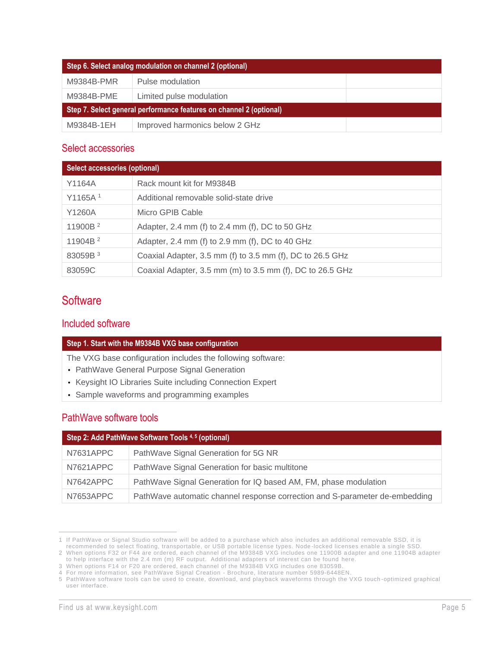| Step 6. Select analog modulation on channel 2 (optional)            |                                |  |
|---------------------------------------------------------------------|--------------------------------|--|
| M9384B-PMR                                                          | Pulse modulation               |  |
| M9384B-PME                                                          | Limited pulse modulation       |  |
| Step 7. Select general performance features on channel 2 (optional) |                                |  |
| M9384B-1EH                                                          | Improved harmonics below 2 GHz |  |

#### <span id="page-4-0"></span>Select accessories

| <b>Select accessories (optional)</b> |                                                           |  |
|--------------------------------------|-----------------------------------------------------------|--|
| Y1164A                               | Rack mount kit for M9384B                                 |  |
| Y1165A <sup>1</sup>                  | Additional removable solid-state drive                    |  |
| Y1260A                               | Micro GPIB Cable                                          |  |
| 11900B <sup>2</sup>                  | Adapter, 2.4 mm (f) to 2.4 mm (f), DC to 50 GHz           |  |
| 11904B <sup>2</sup>                  | Adapter, 2.4 mm (f) to 2.9 mm (f), DC to 40 GHz           |  |
| 83059B <sup>3</sup>                  | Coaxial Adapter, 3.5 mm (f) to 3.5 mm (f), DC to 26.5 GHz |  |
| 83059C                               | Coaxial Adapter, 3.5 mm (m) to 3.5 mm (f), DC to 26.5 GHz |  |

## <span id="page-4-1"></span>**Software**

#### <span id="page-4-2"></span>Included software

#### **Step 1. Start with the M9384B VXG base configuration**

The VXG base configuration includes the following software:

- PathWave General Purpose Signal Generation
- Keysight IO Libraries Suite including Connection Expert
- Sample waveforms and programming examples

#### <span id="page-4-3"></span>PathWave software tools

| Step 2: Add PathWave Software Tools 4,5 (optional) |                                                                             |  |
|----------------------------------------------------|-----------------------------------------------------------------------------|--|
| N7631APPC                                          | PathWave Signal Generation for 5G NR                                        |  |
| N7621APPC                                          | PathWave Signal Generation for basic multitone                              |  |
| N7642APPC                                          | PathWave Signal Generation for IQ based AM, FM, phase modulation            |  |
| N7653APPC                                          | PathWave automatic channel response correction and S-parameter de-embedding |  |

<sup>1</sup> If PathWave or Signal Studio software will be added to a purchase which also includes an additional removable SSD, it is

recommended to select floating, transportable, or USB portable license types. Node -locked licenses enable a single SSD.

<sup>2</sup> When options F32 or F44 are ordered, each channel of the M9384B VXG includes one 11900B a dapter and one 11904B adapter to help interface with the 2.4 mm (m) RF output. Additional adapters of interest can be found [here.](https://www.keysight.com/en/pc-1000000057%3Aepsg%3Apgr/adapters-and-connectors?nid=-32724.0.00&cc=US&lc=eng)

<sup>3</sup> When options F14 or F20 are ordered, each channel of the M9384B VXG includes one 83059B.

<sup>4</sup> For more information, see PathWave Signal Creation - Brochure, literature number [5989-6448EN.](https://literature.cdn.keysight.com/litweb/pdf/5989-6448EN.pdf?id=1142622-1-eng)

<sup>5</sup> PathWave software tools can be used to create, download, and playback waveforms through the VXG touch -optimized graphical user interface.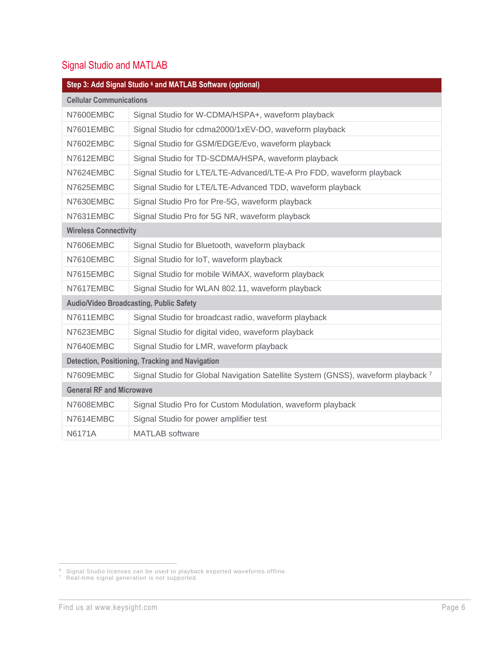## <span id="page-5-0"></span>Signal Studio and MATLAB

| Step 3: Add Signal Studio 6 and MATLAB Software (optional) |                                                                                  |  |
|------------------------------------------------------------|----------------------------------------------------------------------------------|--|
| <b>Cellular Communications</b>                             |                                                                                  |  |
| N7600EMBC                                                  | Signal Studio for W-CDMA/HSPA+, waveform playback                                |  |
| N7601EMBC                                                  | Signal Studio for cdma2000/1xEV-DO, waveform playback                            |  |
| N7602EMBC                                                  | Signal Studio for GSM/EDGE/Evo, waveform playback                                |  |
| N7612EMBC                                                  | Signal Studio for TD-SCDMA/HSPA, waveform playback                               |  |
| N7624EMBC                                                  | Signal Studio for LTE/LTE-Advanced/LTE-A Pro FDD, waveform playback              |  |
| N7625EMBC                                                  | Signal Studio for LTE/LTE-Advanced TDD, waveform playback                        |  |
| N7630EMBC                                                  | Signal Studio Pro for Pre-5G, waveform playback                                  |  |
| N7631EMBC                                                  | Signal Studio Pro for 5G NR, waveform playback                                   |  |
| <b>Wireless Connectivity</b>                               |                                                                                  |  |
| N7606EMBC                                                  | Signal Studio for Bluetooth, waveform playback                                   |  |
| N7610EMBC                                                  | Signal Studio for IoT, waveform playback                                         |  |
| N7615EMBC                                                  | Signal Studio for mobile WiMAX, waveform playback                                |  |
| N7617EMBC                                                  | Signal Studio for WLAN 802.11, waveform playback                                 |  |
| <b>Audio/Video Broadcasting, Public Safety</b>             |                                                                                  |  |
| N7611EMBC                                                  | Signal Studio for broadcast radio, waveform playback                             |  |
| N7623EMBC                                                  | Signal Studio for digital video, waveform playback                               |  |
| N7640EMBC                                                  | Signal Studio for LMR, waveform playback                                         |  |
|                                                            | Detection, Positioning, Tracking and Navigation                                  |  |
| N7609EMBC                                                  | Signal Studio for Global Navigation Satellite System (GNSS), waveform playback 7 |  |
| <b>General RF and Microwave</b>                            |                                                                                  |  |
| N7608EMBC                                                  | Signal Studio Pro for Custom Modulation, waveform playback                       |  |
| N7614EMBC                                                  | Signal Studio for power amplifier test                                           |  |
| <b>N6171A</b>                                              | <b>MATLAB</b> software                                                           |  |

 $6$  Signal Studio licenses can be used to playback exported waveforms offline.

 $7$  Real-time signal generation is not supported.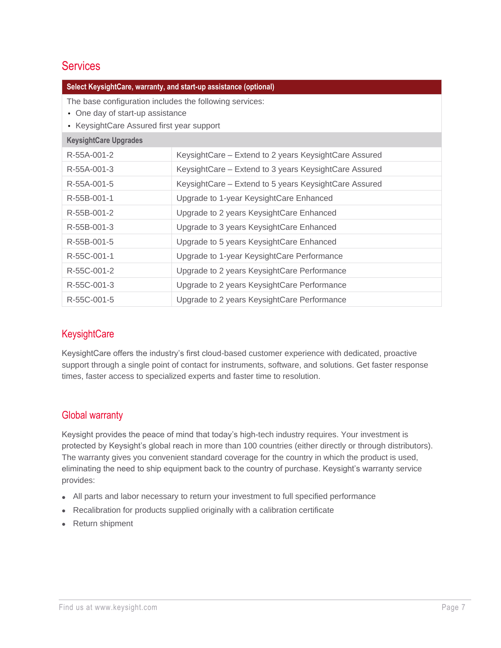### <span id="page-6-0"></span>**Services**

| Select KeysightCare, warranty, and start-up assistance (optional)                                                                        |                                                       |  |
|------------------------------------------------------------------------------------------------------------------------------------------|-------------------------------------------------------|--|
| The base configuration includes the following services:<br>• One day of start-up assistance<br>• KeysightCare Assured first year support |                                                       |  |
| <b>KeysightCare Upgrades</b>                                                                                                             |                                                       |  |
| R-55A-001-2                                                                                                                              | KeysightCare – Extend to 2 years KeysightCare Assured |  |
| R-55A-001-3                                                                                                                              | KeysightCare – Extend to 3 years KeysightCare Assured |  |
| R-55A-001-5                                                                                                                              | KeysightCare – Extend to 5 years KeysightCare Assured |  |
| R-55B-001-1                                                                                                                              | Upgrade to 1-year KeysightCare Enhanced               |  |
| R-55B-001-2                                                                                                                              | Upgrade to 2 years KeysightCare Enhanced              |  |
| R-55B-001-3                                                                                                                              | Upgrade to 3 years KeysightCare Enhanced              |  |
| R-55B-001-5                                                                                                                              | Upgrade to 5 years KeysightCare Enhanced              |  |
| R-55C-001-1                                                                                                                              | Upgrade to 1-year KeysightCare Performance            |  |
| R-55C-001-2                                                                                                                              | Upgrade to 2 years KeysightCare Performance           |  |
| R-55C-001-3                                                                                                                              | Upgrade to 2 years KeysightCare Performance           |  |
| R-55C-001-5                                                                                                                              | Upgrade to 2 years KeysightCare Performance           |  |

#### <span id="page-6-1"></span>**KeysightCare**

KeysightCare offers the industry's first cloud-based customer experience with dedicated, proactive support through a single point of contact for instruments, software, and solutions. Get faster response times, faster access to specialized experts and faster time to resolution.

#### <span id="page-6-2"></span>Global warranty

Keysight provides the peace of mind that today's high-tech industry requires. Your investment is protected by Keysight's global reach in more than 100 countries (either directly or through distributors). The warranty gives you convenient standard coverage for the country in which the product is used, eliminating the need to ship equipment back to the country of purchase. Keysight's warranty service provides:

- All parts and labor necessary to return your investment to full specified performance
- Recalibration for products supplied originally with a calibration certificate
- Return shipment